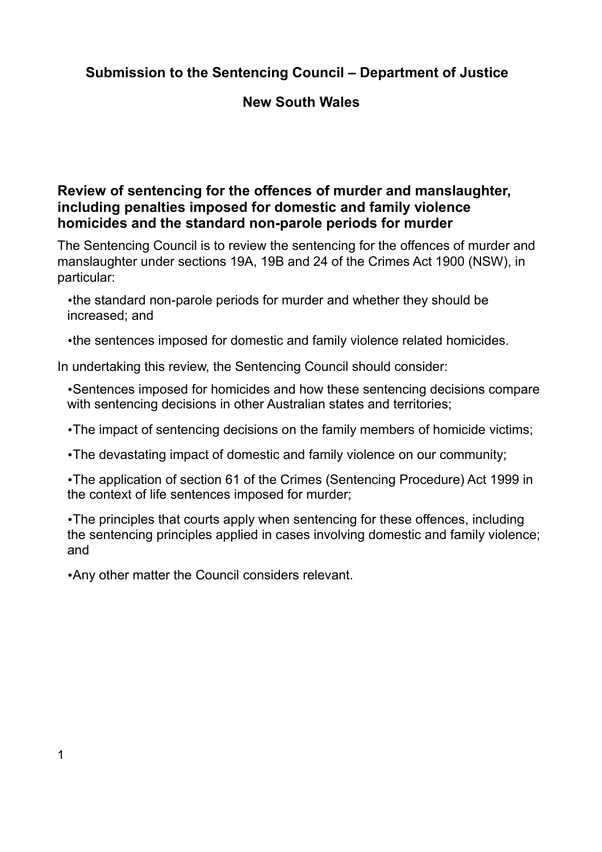# **Submission to the Sentencing Council – Department of Justice**

## **New South Wales**

## **Review of sentencing for the offences of murder and manslaughter, including penalties imposed for domestic and family violence homicides and the standard non-parole periods for murder**

The Sentencing Council is to review the sentencing for the offences of murder and manslaughter under sections 19A, 19B and 24 of the Crimes Act 1900 (NSW), in particular:

•the standard non-parole periods for murder and whether they should be increased; and

•the sentences imposed for domestic and family violence related homicides.

In undertaking this review, the Sentencing Council should consider:

•Sentences imposed for homicides and how these sentencing decisions compare with sentencing decisions in other Australian states and territories;

•The impact of sentencing decisions on the family members of homicide victims;

•The devastating impact of domestic and family violence on our community;

•The application of section 61 of the Crimes (Sentencing Procedure) Act 1999 in the context of life sentences imposed for murder;

•The principles that courts apply when sentencing for these offences, including the sentencing principles applied in cases involving domestic and family violence; and

•Any other matter the Council considers relevant.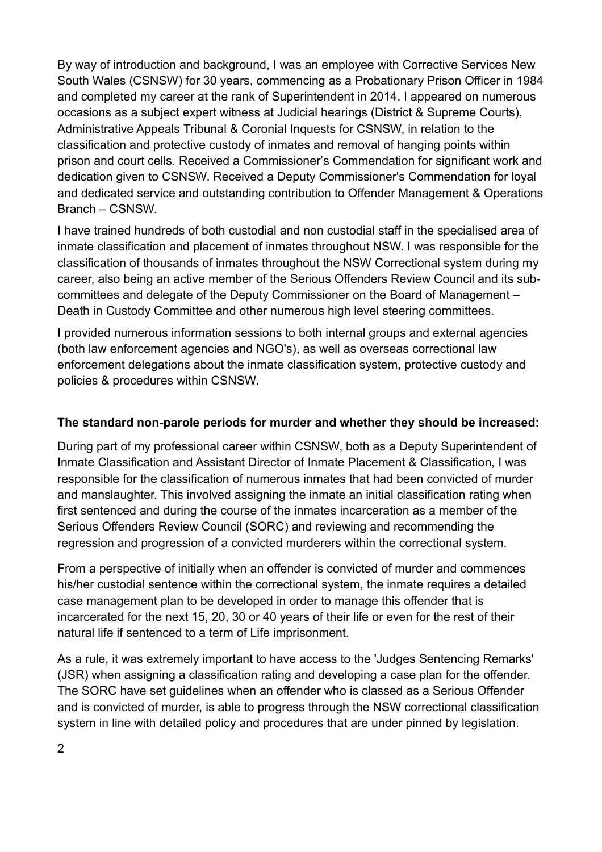By way of introduction and background, I was an employee with Corrective Services New South Wales (CSNSW) for 30 years, commencing as a Probationary Prison Officer in 1984 and completed my career at the rank of Superintendent in 2014. I appeared on numerous occasions as a subject expert witness at Judicial hearings (District & Supreme Courts), Administrative Appeals Tribunal & Coronial Inquests for CSNSW, in relation to the classification and protective custody of inmates and removal of hanging points within prison and court cells. Received a Commissioner's Commendation for significant work and dedication given to CSNSW. Received a Deputy Commissioner's Commendation for loyal and dedicated service and outstanding contribution to Offender Management & Operations Branch – CSNSW.

I have trained hundreds of both custodial and non custodial staff in the specialised area of inmate classification and placement of inmates throughout NSW. I was responsible for the classification of thousands of inmates throughout the NSW Correctional system during my career, also being an active member of the Serious Offenders Review Council and its subcommittees and delegate of the Deputy Commissioner on the Board of Management – Death in Custody Committee and other numerous high level steering committees.

I provided numerous information sessions to both internal groups and external agencies (both law enforcement agencies and NGO's), as well as overseas correctional law enforcement delegations about the inmate classification system, protective custody and policies & procedures within CSNSW.

### **The standard non-parole periods for murder and whether they should be increased:**

During part of my professional career within CSNSW, both as a Deputy Superintendent of Inmate Classification and Assistant Director of Inmate Placement & Classification, I was responsible for the classification of numerous inmates that had been convicted of murder and manslaughter. This involved assigning the inmate an initial classification rating when first sentenced and during the course of the inmates incarceration as a member of the Serious Offenders Review Council (SORC) and reviewing and recommending the regression and progression of a convicted murderers within the correctional system.

From a perspective of initially when an offender is convicted of murder and commences his/her custodial sentence within the correctional system, the inmate requires a detailed case management plan to be developed in order to manage this offender that is incarcerated for the next 15, 20, 30 or 40 years of their life or even for the rest of their natural life if sentenced to a term of Life imprisonment.

As a rule, it was extremely important to have access to the 'Judges Sentencing Remarks' (JSR) when assigning a classification rating and developing a case plan for the offender. The SORC have set guidelines when an offender who is classed as a Serious Offender and is convicted of murder, is able to progress through the NSW correctional classification system in line with detailed policy and procedures that are under pinned by legislation.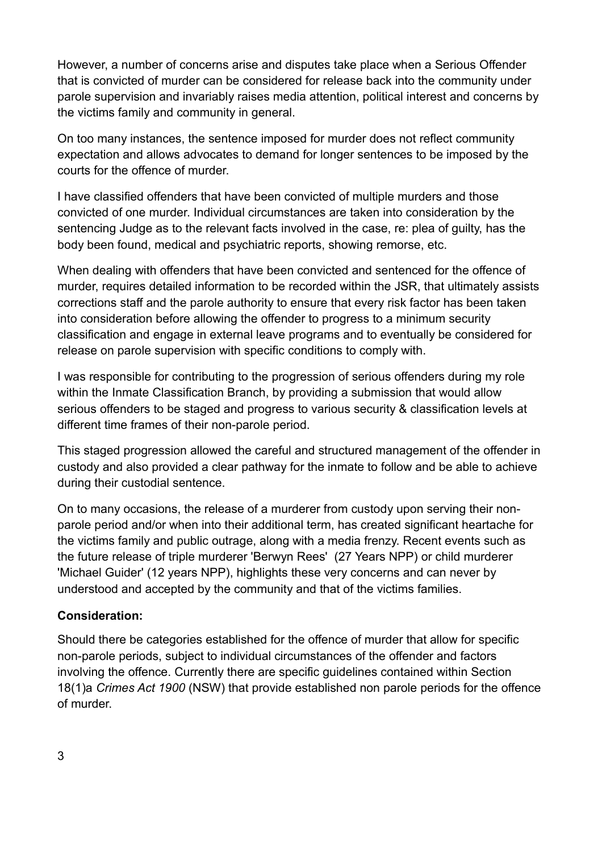However, a number of concerns arise and disputes take place when a Serious Offender that is convicted of murder can be considered for release back into the community under parole supervision and invariably raises media attention, political interest and concerns by the victims family and community in general.

On too many instances, the sentence imposed for murder does not reflect community expectation and allows advocates to demand for longer sentences to be imposed by the courts for the offence of murder.

I have classified offenders that have been convicted of multiple murders and those convicted of one murder. Individual circumstances are taken into consideration by the sentencing Judge as to the relevant facts involved in the case, re: plea of guilty, has the body been found, medical and psychiatric reports, showing remorse, etc.

When dealing with offenders that have been convicted and sentenced for the offence of murder, requires detailed information to be recorded within the JSR, that ultimately assists corrections staff and the parole authority to ensure that every risk factor has been taken into consideration before allowing the offender to progress to a minimum security classification and engage in external leave programs and to eventually be considered for release on parole supervision with specific conditions to comply with.

I was responsible for contributing to the progression of serious offenders during my role within the Inmate Classification Branch, by providing a submission that would allow serious offenders to be staged and progress to various security & classification levels at different time frames of their non-parole period.

This staged progression allowed the careful and structured management of the offender in custody and also provided a clear pathway for the inmate to follow and be able to achieve during their custodial sentence.

On to many occasions, the release of a murderer from custody upon serving their nonparole period and/or when into their additional term, has created significant heartache for the victims family and public outrage, along with a media frenzy. Recent events such as the future release of triple murderer 'Berwyn Rees' (27 Years NPP) or child murderer 'Michael Guider' (12 years NPP), highlights these very concerns and can never by understood and accepted by the community and that of the victims families.

#### **Consideration:**

Should there be categories established for the offence of murder that allow for specific non-parole periods, subject to individual circumstances of the offender and factors involving the offence. Currently there are specific guidelines contained within Section 18(1)a *Crimes Act 1900* (NSW) that provide established non parole periods for the offence of murder.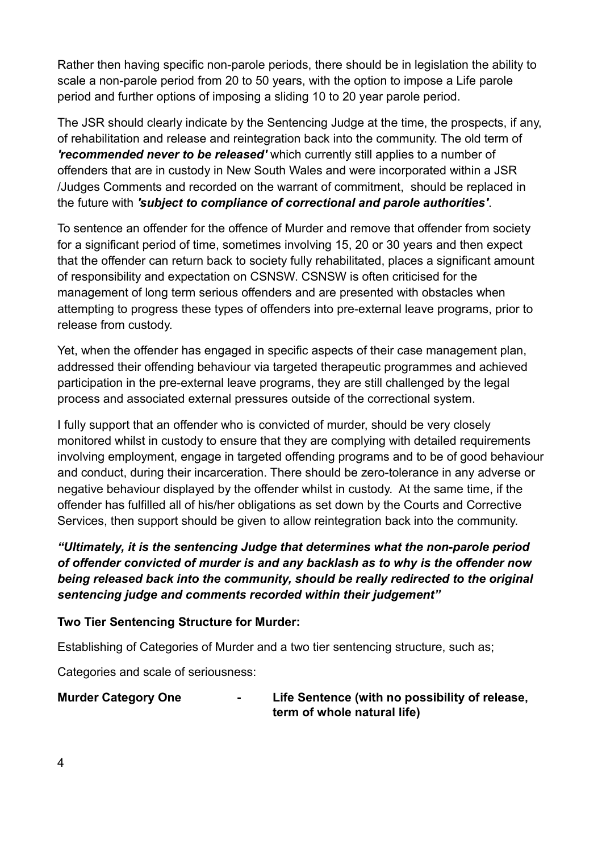Rather then having specific non-parole periods, there should be in legislation the ability to scale a non-parole period from 20 to 50 years, with the option to impose a Life parole period and further options of imposing a sliding 10 to 20 year parole period.

The JSR should clearly indicate by the Sentencing Judge at the time, the prospects, if any, of rehabilitation and release and reintegration back into the community. The old term of *'recommended never to be released'* which currently still applies to a number of offenders that are in custody in New South Wales and were incorporated within a JSR /Judges Comments and recorded on the warrant of commitment, should be replaced in the future with *'subject to compliance of correctional and parole authorities'*.

To sentence an offender for the offence of Murder and remove that offender from society for a significant period of time, sometimes involving 15, 20 or 30 years and then expect that the offender can return back to society fully rehabilitated, places a significant amount of responsibility and expectation on CSNSW. CSNSW is often criticised for the management of long term serious offenders and are presented with obstacles when attempting to progress these types of offenders into pre-external leave programs, prior to release from custody.

Yet, when the offender has engaged in specific aspects of their case management plan, addressed their offending behaviour via targeted therapeutic programmes and achieved participation in the pre-external leave programs, they are still challenged by the legal process and associated external pressures outside of the correctional system.

I fully support that an offender who is convicted of murder, should be very closely monitored whilst in custody to ensure that they are complying with detailed requirements involving employment, engage in targeted offending programs and to be of good behaviour and conduct, during their incarceration. There should be zero-tolerance in any adverse or negative behaviour displayed by the offender whilst in custody. At the same time, if the offender has fulfilled all of his/her obligations as set down by the Courts and Corrective Services, then support should be given to allow reintegration back into the community.

*"Ultimately, it is the sentencing Judge that determines what the non-parole period of offender convicted of murder is and any backlash as to why is the offender now being released back into the community, should be really redirected to the original sentencing judge and comments recorded within their judgement"*

#### **Two Tier Sentencing Structure for Murder:**

Establishing of Categories of Murder and a two tier sentencing structure, such as;

Categories and scale of seriousness:

| <b>Murder Category One</b> | $\overline{\phantom{a}}$ | Life Sentence (with no possibility of release, |
|----------------------------|--------------------------|------------------------------------------------|
|                            |                          | term of whole natural life)                    |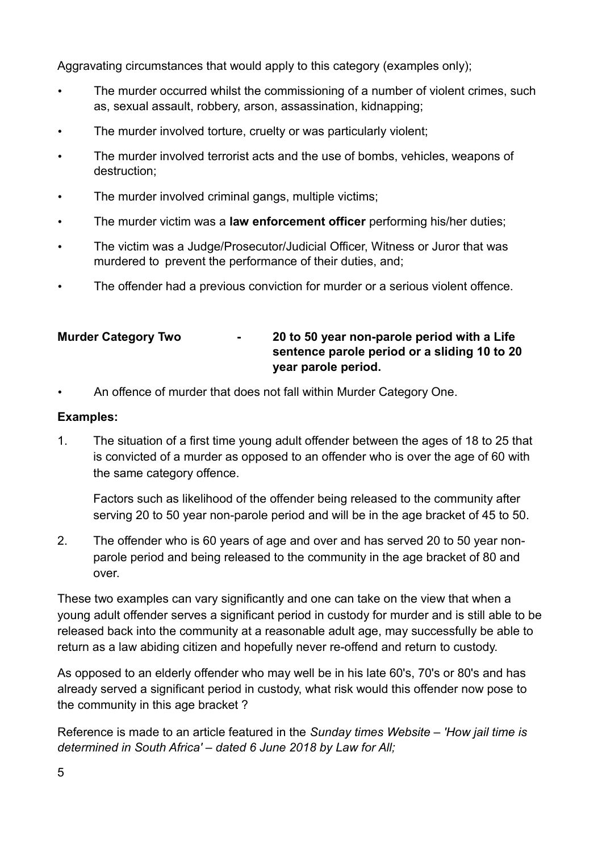Aggravating circumstances that would apply to this category (examples only);

- The murder occurred whilst the commissioning of a number of violent crimes, such as, sexual assault, robbery, arson, assassination, kidnapping;
- The murder involved torture, cruelty or was particularly violent;
- The murder involved terrorist acts and the use of bombs, vehicles, weapons of destruction;
- The murder involved criminal gangs, multiple victims;
- The murder victim was a **law enforcement officer** performing his/her duties;
- The victim was a Judge/Prosecutor/Judicial Officer, Witness or Juror that was murdered to prevent the performance of their duties, and;
- The offender had a previous conviction for murder or a serious violent offence.

### **Murder Category Two - 20 to 50 year non-parole period with a Life sentence parole period or a sliding 10 to 20 year parole period.**

• An offence of murder that does not fall within Murder Category One.

### **Examples:**

1. The situation of a first time young adult offender between the ages of 18 to 25 that is convicted of a murder as opposed to an offender who is over the age of 60 with the same category offence.

Factors such as likelihood of the offender being released to the community after serving 20 to 50 year non-parole period and will be in the age bracket of 45 to 50.

2. The offender who is 60 years of age and over and has served 20 to 50 year nonparole period and being released to the community in the age bracket of 80 and over.

These two examples can vary significantly and one can take on the view that when a young adult offender serves a significant period in custody for murder and is still able to be released back into the community at a reasonable adult age, may successfully be able to return as a law abiding citizen and hopefully never re-offend and return to custody.

As opposed to an elderly offender who may well be in his late 60's, 70's or 80's and has already served a significant period in custody, what risk would this offender now pose to the community in this age bracket ?

Reference is made to an article featured in the *Sunday times Website – 'How jail time is determined in South Africa' – dated 6 June 2018 by Law for All;*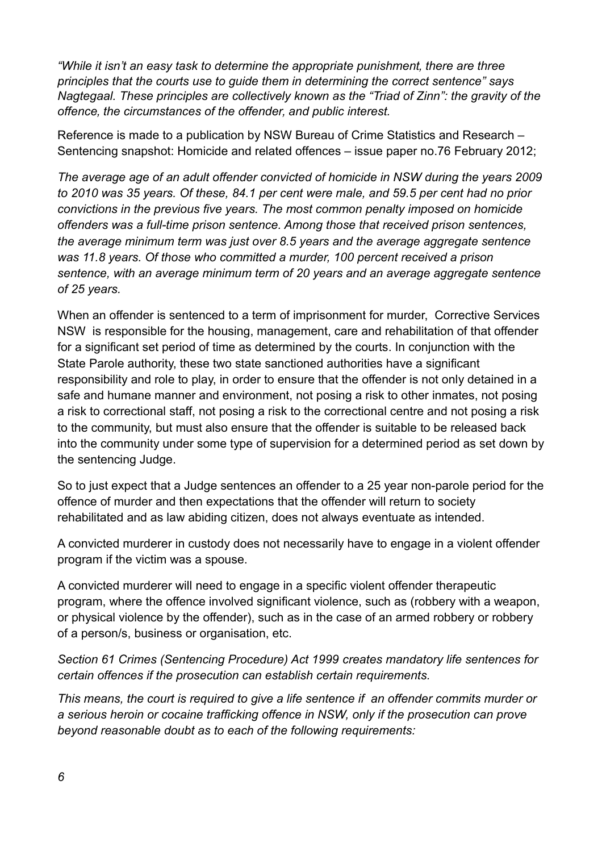*"While it isn't an easy task to determine the appropriate punishment' there are three principles that the courts use to guide them in determining the correct sentence" says Nagtegaal. These principles are collectively known as the "Triad of Zinn": the gravity of the offence' the circumstances of the offender' and public interest.*

Reference is made to a publication by NSW Bureau of Crime Statistics and Research – Sentencing snapshot: Homicide and related offences – issue paper no.76 February 2012;

*The average age of an adult offender convicted of homicide in NSW during the years 2009 to 2010 was 35 years. Of these, 84.1 per cent were male, and 59.5 per cent had no prior convictions in the previous five years. The most common penalty imposed on homicide offenders was a full-time prison sentence. Among those that received prison sentences, the average minimum term was just over 8.5 years and the average aggregate sentence*  was 11.8 years. Of those who committed a murder, 100 percent received a prison *sentence, with an average minimum term of 20 years and an average aggregate sentence of 25 years.* 

When an offender is sentenced to a term of imprisonment for murder, Corrective Services NSW is responsible for the housing, management, care and rehabilitation of that offender for a significant set period of time as determined by the courts. In conjunction with the State Parole authority, these two state sanctioned authorities have a significant responsibility and role to play, in order to ensure that the offender is not only detained in a safe and humane manner and environment, not posing a risk to other inmates, not posing a risk to correctional staff, not posing a risk to the correctional centre and not posing a risk to the community, but must also ensure that the offender is suitable to be released back into the community under some type of supervision for a determined period as set down by the sentencing Judge.

So to just expect that a Judge sentences an offender to a 25 year non-parole period for the offence of murder and then expectations that the offender will return to society rehabilitated and as law abiding citizen, does not always eventuate as intended.

A convicted murderer in custody does not necessarily have to engage in a violent offender program if the victim was a spouse.

A convicted murderer will need to engage in a specific violent offender therapeutic program, where the offence involved significant violence, such as (robbery with a weapon, or physical violence by the offender), such as in the case of an armed robbery or robbery of a person/s, business or organisation, etc.

*Section 61 Crimes (Sentencing Procedure) Act 1999 creates mandatory life sentences for certain offences if the prosecution can establish certain requirements.*

*This means, the court is required to give a life sentence if an offender commits murder or a serious heroin or cocaine trafficking offence in NSW, only if the prosecution can prove beyond reasonable doubt as to each of the following requirements:*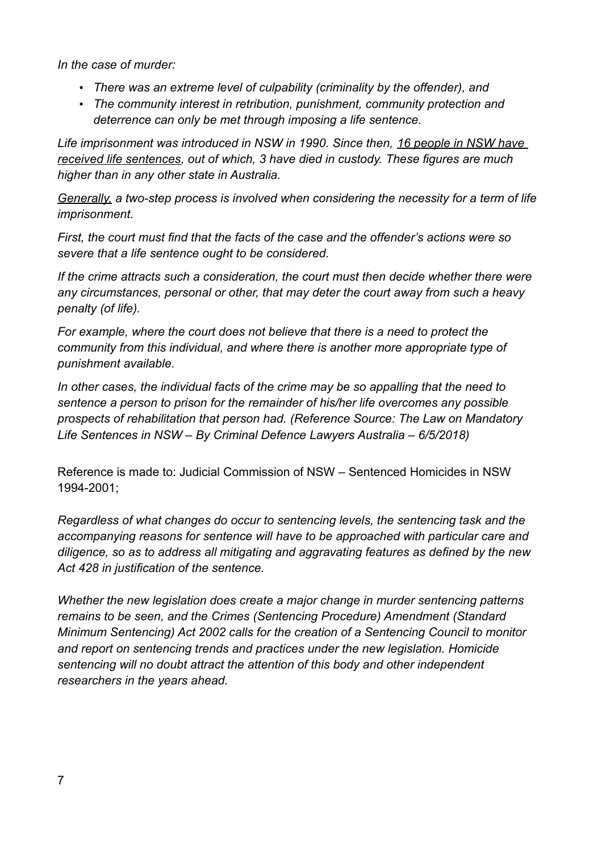*In the case of murder:*

- *There was an extreme level of culpability (criminality by the offender), and*
- *The community interest in retribution, punishment, community protection and deterrence can only be met through imposing a life sentence.*

*Life imprisonment was introduced in NSW in 1990. Since then, 16 people in NSW have received life sentences, out of which, 3 have died in custody. These figures are much higher than in any other state in Australia.*

*Generally, a two-step process is involved when considering the necessity for a term of life imprisonment.*

*First, the court must find that the facts of the case and the offender's actions were so severe that a life sentence ought to be considered.*

*If the crime attracts such a consideration, the court must then decide whether there were any circumstances, personal or other, that may deter the court away from such a heavy penalty (of life).*

*For example, where the court does not believe that there is a need to protect the community from this individual, and where there is another more appropriate type of punishment available.*

*In other cases, the individual facts of the crime may be so appalling that the need to sentence a person to prison for the remainder of his/her life overcomes any possible prospects of rehabilitation that person had. (Reference Source: The Law on Mandatory Life Sentences in NSW – By Criminal Defence Lawyers Australia – 6/5/2018)*

Reference is made to: Judicial Commission of NSW – Sentenced Homicides in NSW 1994-2001;

*Regardless of what changes do occur to sentencing levels, the sentencing task and the accompanying reasons for sentence will have to be approached with particular care and diligence, so as to address all mitigating and aggravating features as defined by the new Act 428 in justification of the sentence.* 

*Whether the new legislation does create a major change in murder sentencing patterns remains to be seen, and the Crimes (Sentencing Procedure) Amendment (Standard Minimum Sentencing) Act 2002 calls for the creation of a Sentencing Council to monitor and report on sentencing trends and practices under the new legislation. Homicide sentencing will no doubt attract the attention of this body and other independent researchers in the years ahead.*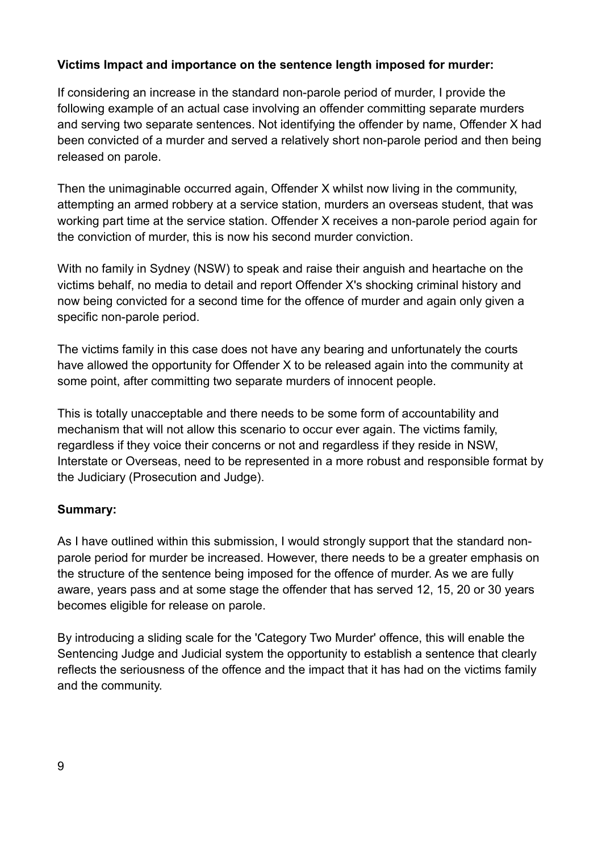### **Victims Impact and importance on the sentence length imposed for murder:**

If considering an increase in the standard non-parole period of murder, I provide the following example of an actual case involving an offender committing separate murders and serving two separate sentences. Not identifying the offender by name, Offender X had been convicted of a murder and served a relatively short non-parole period and then being released on parole.

Then the unimaginable occurred again, Offender X whilst now living in the community, attempting an armed robbery at a service station, murders an overseas student, that was working part time at the service station. Offender X receives a non-parole period again for the conviction of murder, this is now his second murder conviction.

With no family in Sydney (NSW) to speak and raise their anguish and heartache on the victims behalf, no media to detail and report Offender X's shocking criminal history and now being convicted for a second time for the offence of murder and again only given a specific non-parole period.

The victims family in this case does not have any bearing and unfortunately the courts have allowed the opportunity for Offender X to be released again into the community at some point, after committing two separate murders of innocent people.

This is totally unacceptable and there needs to be some form of accountability and mechanism that will not allow this scenario to occur ever again. The victims family, regardless if they voice their concerns or not and regardless if they reside in NSW, Interstate or Overseas, need to be represented in a more robust and responsible format by the Judiciary (Prosecution and Judge).

#### **Summary:**

As I have outlined within this submission, I would strongly support that the standard nonparole period for murder be increased. However, there needs to be a greater emphasis on the structure of the sentence being imposed for the offence of murder. As we are fully aware, years pass and at some stage the offender that has served 12, 15, 20 or 30 years becomes eligible for release on parole.

By introducing a sliding scale for the 'Category Two Murder' offence, this will enable the Sentencing Judge and Judicial system the opportunity to establish a sentence that clearly reflects the seriousness of the offence and the impact that it has had on the victims family and the community.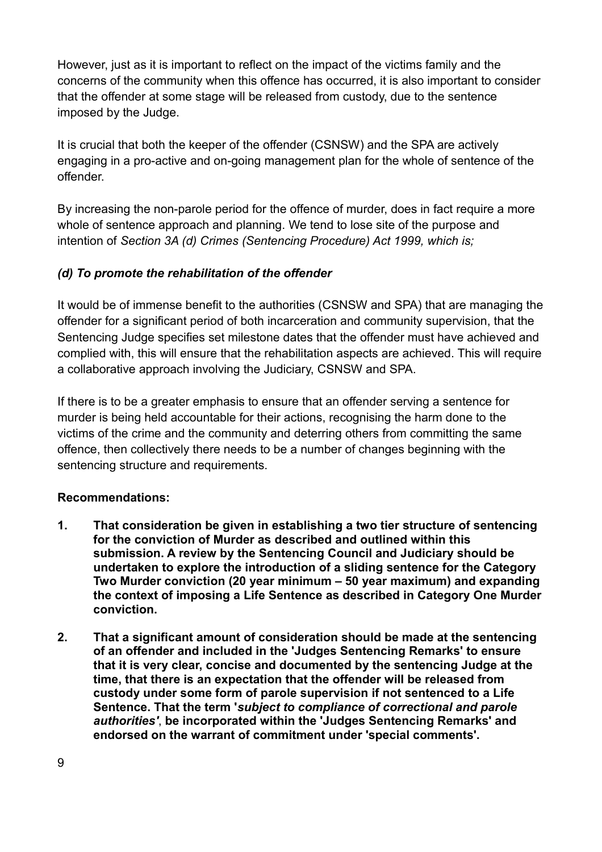However, just as it is important to reflect on the impact of the victims family and the concerns of the community when this offence has occurred, it is also important to consider that the offender at some stage will be released from custody, due to the sentence imposed by the Judge.

It is crucial that both the keeper of the offender (CSNSW) and the SPA are actively engaging in a pro-active and on-going management plan for the whole of sentence of the offender.

By increasing the non-parole period for the offence of murder, does in fact require a more whole of sentence approach and planning. We tend to lose site of the purpose and intention of *Section 3A (d) Crimes (Sentencing Procedure) Act 1999, which is;*

### *(d) To promote the rehabilitation of the offender*

It would be of immense benefit to the authorities (CSNSW and SPA) that are managing the offender for a significant period of both incarceration and community supervision, that the Sentencing Judge specifies set milestone dates that the offender must have achieved and complied with, this will ensure that the rehabilitation aspects are achieved. This will require a collaborative approach involving the Judiciary, CSNSW and SPA.

If there is to be a greater emphasis to ensure that an offender serving a sentence for murder is being held accountable for their actions, recognising the harm done to the victims of the crime and the community and deterring others from committing the same offence, then collectively there needs to be a number of changes beginning with the sentencing structure and requirements.

### **Recommendations:**

- **1. That consideration be given in establishing a two tier structure of sentencing for the conviction of Murder as described and outlined within this submission. A review by the Sentencing Council and Judiciary should be undertaken to explore the introduction of a sliding sentence for the Category Two Murder conviction (20 year minimum – 50 year maximum) and expanding the context of imposing a Life Sentence as described in Category One Murder conviction.**
- **2. That a significant amount of consideration should be made at the sentencing of an offender and included in the 'Judges Sentencing Remarks' to ensure that it is very clear, concise and documented by the sentencing Judge at the time, that there is an expectation that the offender will be released from custody under some form of parole supervision if not sentenced to a Life Sentence. That the term '***subject to compliance of correctional and parole authorities'*, **be incorporated within the 'Judges Sentencing Remarks' and endorsed on the warrant of commitment under 'special comments'.**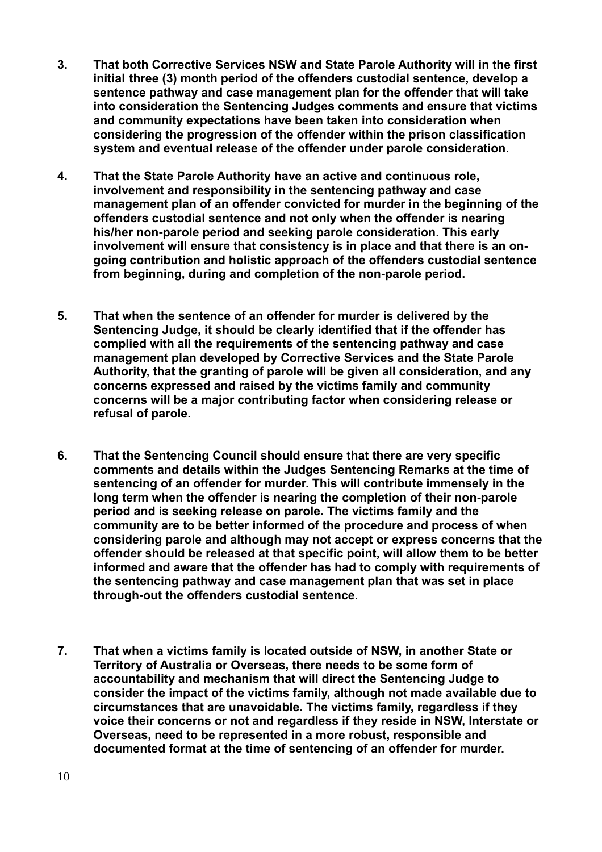- **3. That both Corrective Services NSW and State Parole Authority will in the first initial three (3) month period of the offenders custodial sentence, develop a sentence pathway and case management plan for the offender that will take into consideration the Sentencing Judges comments and ensure that victims and community expectations have been taken into consideration when considering the progression of the offender within the prison classification system and eventual release of the offender under parole consideration.**
- **4. That the State Parole Authority have an active and continuous role, involvement and responsibility in the sentencing pathway and case management plan of an offender convicted for murder in the beginning of the offenders custodial sentence and not only when the offender is nearing his/her non-parole period and seeking parole consideration. This early involvement will ensure that consistency is in place and that there is an ongoing contribution and holistic approach of the offenders custodial sentence from beginning, during and completion of the non-parole period.**
- **5. That when the sentence of an offender for murder is delivered by the Sentencing Judge, it should be clearly identified that if the offender has complied with all the requirements of the sentencing pathway and case management plan developed by Corrective Services and the State Parole Authority, that the granting of parole will be given all consideration, and any concerns expressed and raised by the victims family and community concerns will be a major contributing factor when considering release or refusal of parole.**
- **6. That the Sentencing Council should ensure that there are very specific comments and details within the Judges Sentencing Remarks at the time of sentencing of an offender for murder. This will contribute immensely in the long term when the offender is nearing the completion of their non-parole period and is seeking release on parole. The victims family and the community are to be better informed of the procedure and process of when considering parole and although may not accept or express concerns that the offender should be released at that specific point, will allow them to be better informed and aware that the offender has had to comply with requirements of the sentencing pathway and case management plan that was set in place through-out the offenders custodial sentence.**
- **7. That when a victims family is located outside of NSW, in another State or Territory of Australia or Overseas, there needs to be some form of accountability and mechanism that will direct the Sentencing Judge to consider the impact of the victims family, although not made available due to circumstances that are unavoidable. The victims family, regardless if they voice their concerns or not and regardless if they reside in NSW, Interstate or Overseas, need to be represented in a more robust, responsible and documented format at the time of sentencing of an offender for murder.**